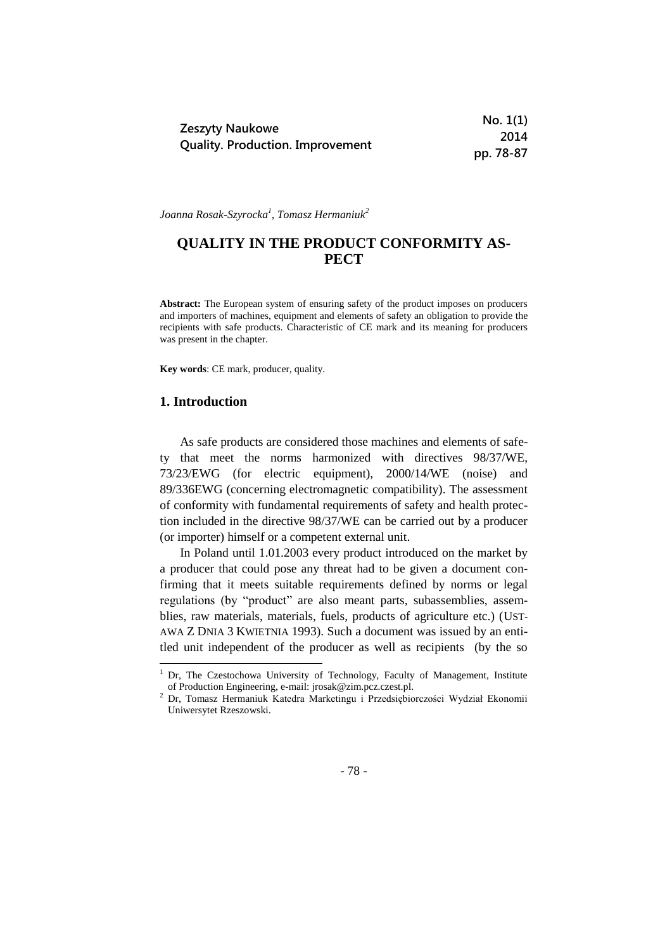|                                         | No. 1(1)  |
|-----------------------------------------|-----------|
| Zeszyty Naukowe                         | 2014      |
| <b>Quality. Production. Improvement</b> | pp. 78-87 |

*Joanna Rosak-Szyrocka<sup>1</sup> , Tomasz Hermaniuk<sup>2</sup>*

# **QUALITY IN THE PRODUCT CONFORMITY AS-PECT**

**Abstract:** The European system of ensuring safety of the product imposes on producers and importers of machines, equipment and elements of safety an obligation to provide the recipients with safe products. Characteristic of CE mark and its meaning for producers was present in the chapter.

**Key words**: CE mark, producer, quality.

#### **1. Introduction**

1

As safe products are considered those machines and elements of safety that meet the norms harmonized with directives 98/37/WE, 73/23/EWG (for electric equipment), 2000/14/WE (noise) and 89/336EWG (concerning electromagnetic compatibility). The assessment of conformity with fundamental requirements of safety and health protection included in the directive 98/37/WE can be carried out by a producer (or importer) himself or a competent external unit.

In Poland until 1.01.2003 every product introduced on the market by a producer that could pose any threat had to be given a document confirming that it meets suitable requirements defined by norms or legal regulations (by "product" are also meant parts, subassemblies, assemblies, raw materials, materials, fuels, products of agriculture etc.) (UST-AWA Z DNIA 3 KWIETNIA 1993). Such a document was issued by an entitled unit independent of the producer as well as recipients (by the so

<sup>&</sup>lt;sup>1</sup> Dr, The Czestochowa University of Technology, Faculty of Management, Institute of Production Engineering, e-mail: jrosak@zim.pcz.czest.pl.

<sup>2</sup> Dr, Tomasz Hermaniuk Katedra Marketingu i Przedsiębiorczości Wydział Ekonomii Uniwersytet Rzeszowski.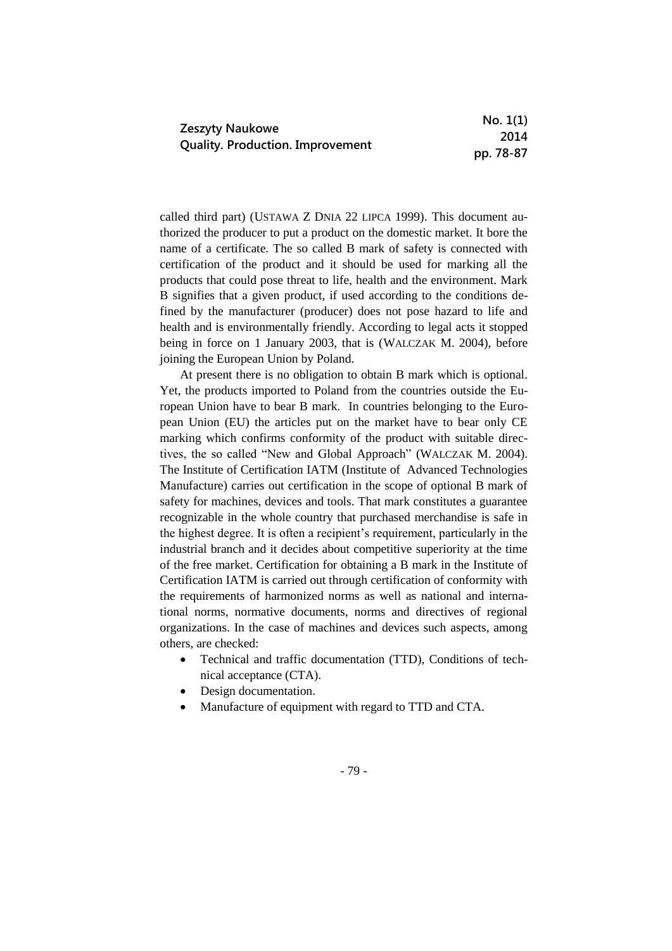|                                         | No. 1(1)  |
|-----------------------------------------|-----------|
| Zeszyty Naukowe                         | 2014      |
| <b>Quality. Production. Improvement</b> | pp. 78-87 |

called third part) (USTAWA Z DNIA 22 LIPCA 1999). This document authorized the producer to put a product on the domestic market. It bore the name of a certificate. The so called B mark of safety is connected with certification of the product and it should be used for marking all the products that could pose threat to life, health and the environment. Mark B signifies that a given product, if used according to the conditions defined by the manufacturer (producer) does not pose hazard to life and health and is environmentally friendly. According to legal acts it stopped being in force on 1 January 2003, that is (WALCZAK M. 2004), before joining the European Union by Poland.

At present there is no obligation to obtain B mark which is optional. Yet, the products imported to Poland from the countries outside the European Union have to bear B mark. In countries belonging to the European Union (EU) the articles put on the market have to bear only CE marking which confirms conformity of the product with suitable directives, the so called "New and Global Approach" (WALCZAK M. 2004). The Institute of Certification IATM (Institute of Advanced Technologies Manufacture) carries out certification in the scope of optional B mark of safety for machines, devices and tools. That mark constitutes a guarantee recognizable in the whole country that purchased merchandise is safe in the highest degree. It is often a recipient's requirement, particularly in the industrial branch and it decides about competitive superiority at the time of the free market. Certification for obtaining a B mark in the Institute of Certification IATM is carried out through certification of conformity with the requirements of harmonized norms as well as national and international norms, normative documents, norms and directives of regional organizations. In the case of machines and devices such aspects, among others, are checked:

- Technical and traffic documentation (TTD), Conditions of technical acceptance (CTA).
- Design documentation.
- Manufacture of equipment with regard to TTD and CTA.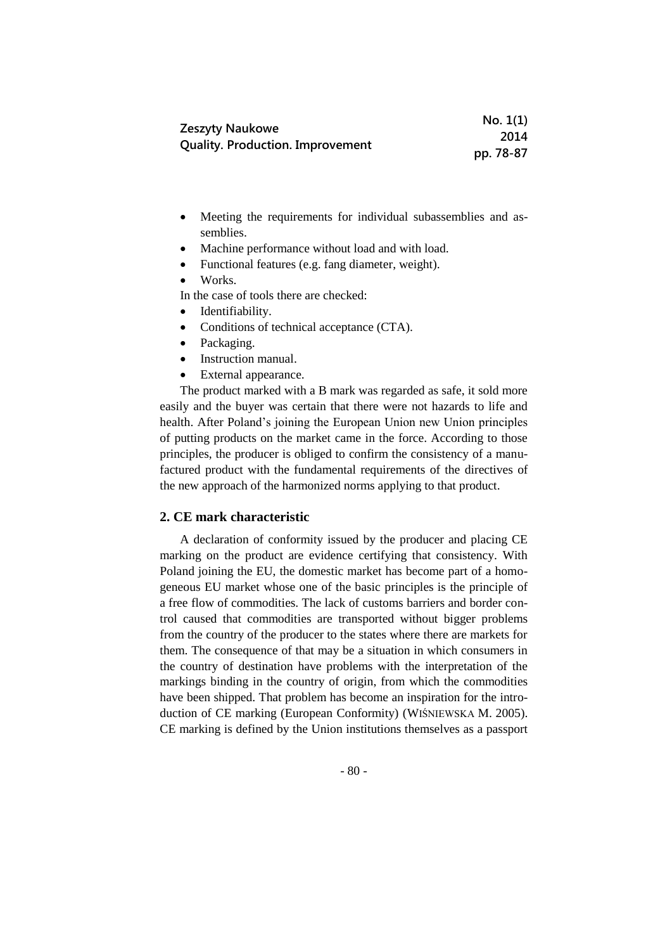|                                         | No. 1(1)  |
|-----------------------------------------|-----------|
| Zeszyty Naukowe                         | 2014      |
| <b>Quality. Production. Improvement</b> | pp. 78-87 |

- Meeting the requirements for individual subassemblies and assemblies.
- Machine performance without load and with load.
- Functional features (e.g. fang diameter, weight).
- Works.

In the case of tools there are checked:

- Identifiability.
- Conditions of technical acceptance (CTA).
- Packaging.
- Instruction manual.
- External appearance.

The product marked with a B mark was regarded as safe, it sold more easily and the buyer was certain that there were not hazards to life and health. After Poland's joining the European Union new Union principles of putting products on the market came in the force. According to those principles, the producer is obliged to confirm the consistency of a manufactured product with the fundamental requirements of the directives of the new approach of the harmonized norms applying to that product.

# **2. CE mark characteristic**

A declaration of conformity issued by the producer and placing CE marking on the product are evidence certifying that consistency. With Poland joining the EU, the domestic market has become part of a homogeneous EU market whose one of the basic principles is the principle of a free flow of commodities. The lack of customs barriers and border control caused that commodities are transported without bigger problems from the country of the producer to the states where there are markets for them. The consequence of that may be a situation in which consumers in the country of destination have problems with the interpretation of the markings binding in the country of origin, from which the commodities have been shipped. That problem has become an inspiration for the introduction of CE marking (European Conformity) (WIŚNIEWSKA M. 2005). CE marking is defined by the Union institutions themselves as a passport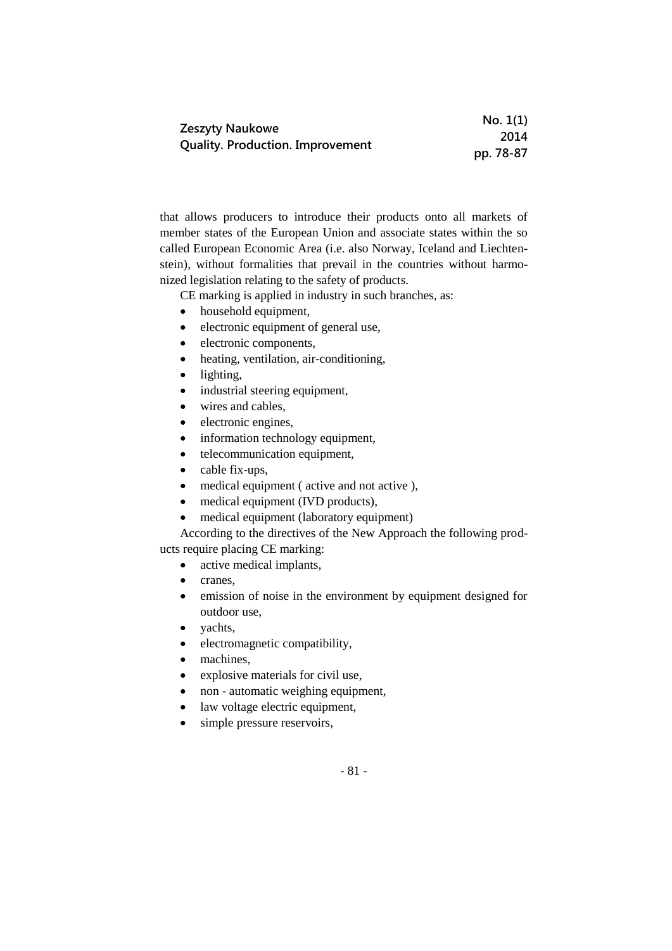|                                         | No. 1(1)  |
|-----------------------------------------|-----------|
| <b>Zeszyty Naukowe</b>                  | 2014      |
| <b>Quality. Production. Improvement</b> | pp. 78-87 |

that allows producers to introduce their products onto all markets of member states of the European Union and associate states within the so called European Economic Area (i.e. also Norway, Iceland and Liechtenstein), without formalities that prevail in the countries without harmonized legislation relating to the safety of products.

CE marking is applied in industry in such branches, as:

- household equipment,
- electronic equipment of general use,
- electronic components,
- heating, ventilation, air-conditioning,
- lighting,
- industrial steering equipment,
- wires and cables,
- electronic engines,
- information technology equipment,
- telecommunication equipment,
- cable fix-ups,
- medical equipment (active and not active),
- medical equipment (IVD products),
- medical equipment (laboratory equipment)
- According to the directives of the New Approach the following prod-

ucts require placing CE marking:

- active medical implants,
- cranes,
- emission of noise in the environment by equipment designed for outdoor use,
- vachts,
- electromagnetic compatibility,
- machines,
- explosive materials for civil use,
- non automatic weighing equipment,
- law voltage electric equipment,
- simple pressure reservoirs,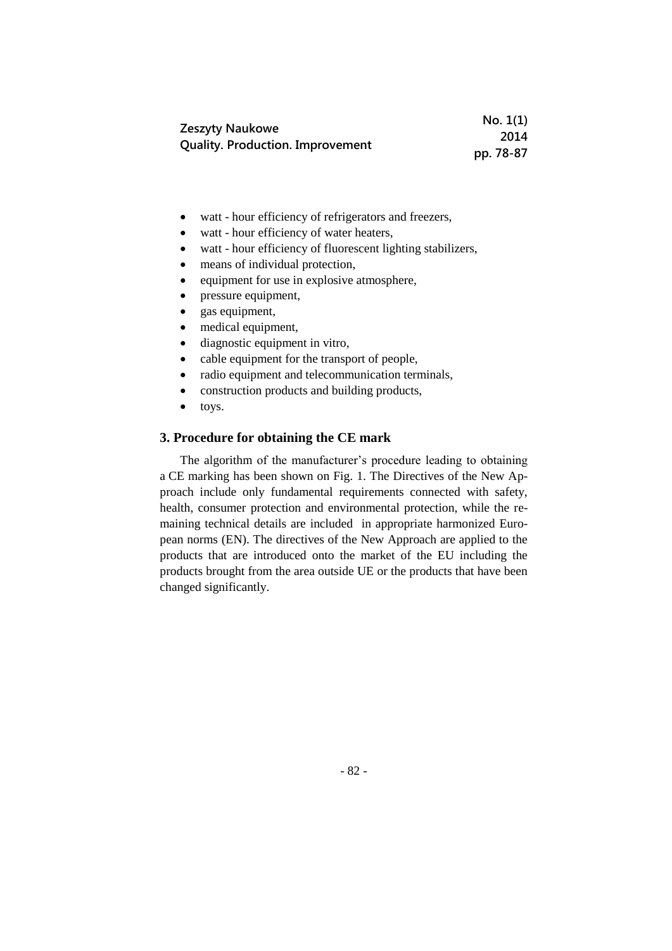|                                         | No. 1(1)  |
|-----------------------------------------|-----------|
| Zeszyty Naukowe                         | 2014      |
| <b>Quality. Production. Improvement</b> | pp. 78-87 |

- watt hour efficiency of refrigerators and freezers,
- watt hour efficiency of water heaters,
- watt hour efficiency of fluorescent lighting stabilizers,
- means of individual protection,
- equipment for use in explosive atmosphere,
- pressure equipment,
- gas equipment,
- medical equipment,
- diagnostic equipment in vitro,
- cable equipment for the transport of people,
- radio equipment and telecommunication terminals,
- construction products and building products,
- toys.

### **3. Procedure for obtaining the CE mark**

The algorithm of the manufacturer's procedure leading to obtaining a CE marking has been shown on Fig. 1. The Directives of the New Approach include only fundamental requirements connected with safety, health, consumer protection and environmental protection, while the remaining technical details are included in appropriate harmonized European norms (EN). The directives of the New Approach are applied to the products that are introduced onto the market of the EU including the products brought from the area outside UE or the products that have been changed significantly.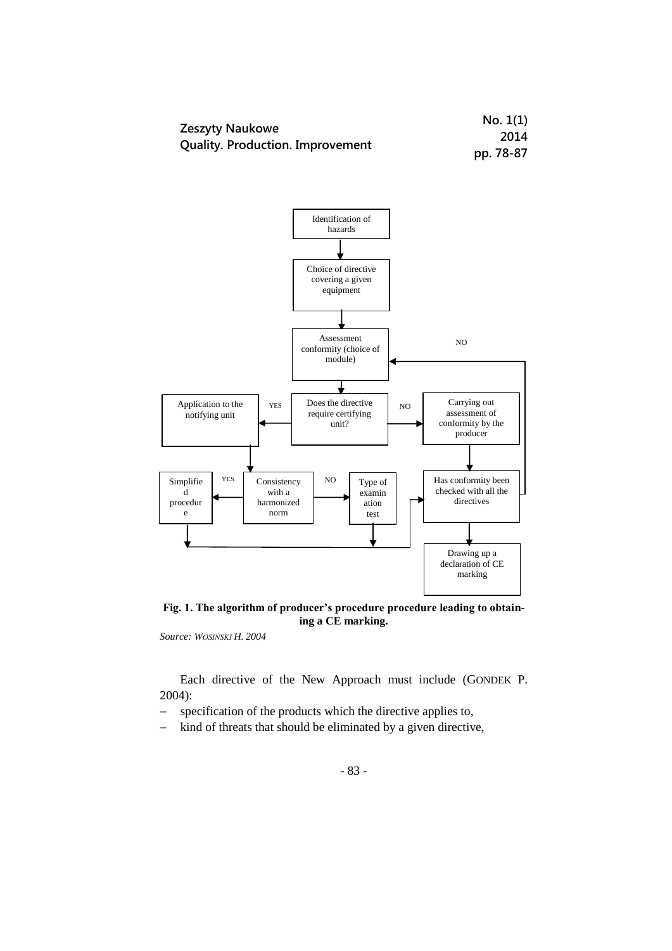|                                         | No. 1(1)  |
|-----------------------------------------|-----------|
| Zeszyty Naukowe                         | 2014      |
| <b>Quality. Production. Improvement</b> | pp. 78-87 |



**Fig. 1. The algorithm of producer's procedure procedure leading to obtaining a CE marking.**

*Source: WOSIŃSKI H. 2004*

Each directive of the New Approach must include (GONDEK P. 2004):

- specification of the products which the directive applies to,

- kind of threats that should be eliminated by a given directive,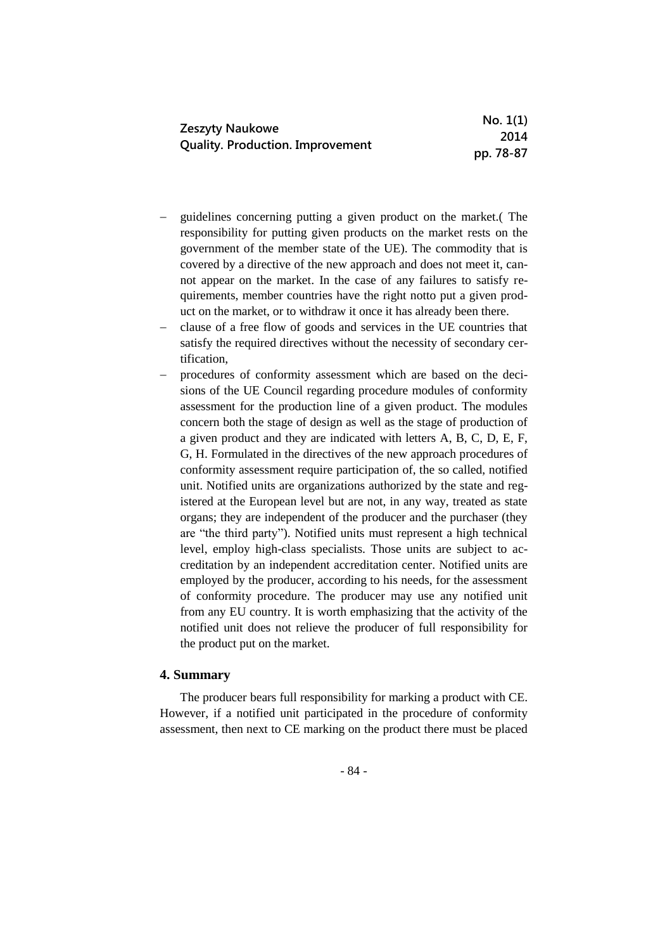|                                                            | No. 1(1)  |
|------------------------------------------------------------|-----------|
| Zeszyty Naukowe<br><b>Quality. Production. Improvement</b> | 2014      |
|                                                            | pp. 78-87 |

- guidelines concerning putting a given product on the market.( The responsibility for putting given products on the market rests on the government of the member state of the UE). The commodity that is covered by a directive of the new approach and does not meet it, cannot appear on the market. In the case of any failures to satisfy requirements, member countries have the right notto put a given product on the market, or to withdraw it once it has already been there.
- clause of a free flow of goods and services in the UE countries that satisfy the required directives without the necessity of secondary certification,
- procedures of conformity assessment which are based on the decisions of the UE Council regarding procedure modules of conformity assessment for the production line of a given product. The modules concern both the stage of design as well as the stage of production of a given product and they are indicated with letters A, B, C, D, E, F, G, H. Formulated in the directives of the new approach procedures of conformity assessment require participation of, the so called, notified unit. Notified units are organizations authorized by the state and registered at the European level but are not, in any way, treated as state organs; they are independent of the producer and the purchaser (they are "the third party"). Notified units must represent a high technical level, employ high-class specialists. Those units are subject to accreditation by an independent accreditation center. Notified units are employed by the producer, according to his needs, for the assessment of conformity procedure. The producer may use any notified unit from any EU country. It is worth emphasizing that the activity of the notified unit does not relieve the producer of full responsibility for the product put on the market.

# **4. Summary**

The producer bears full responsibility for marking a product with CE. However, if a notified unit participated in the procedure of conformity assessment, then next to CE marking on the product there must be placed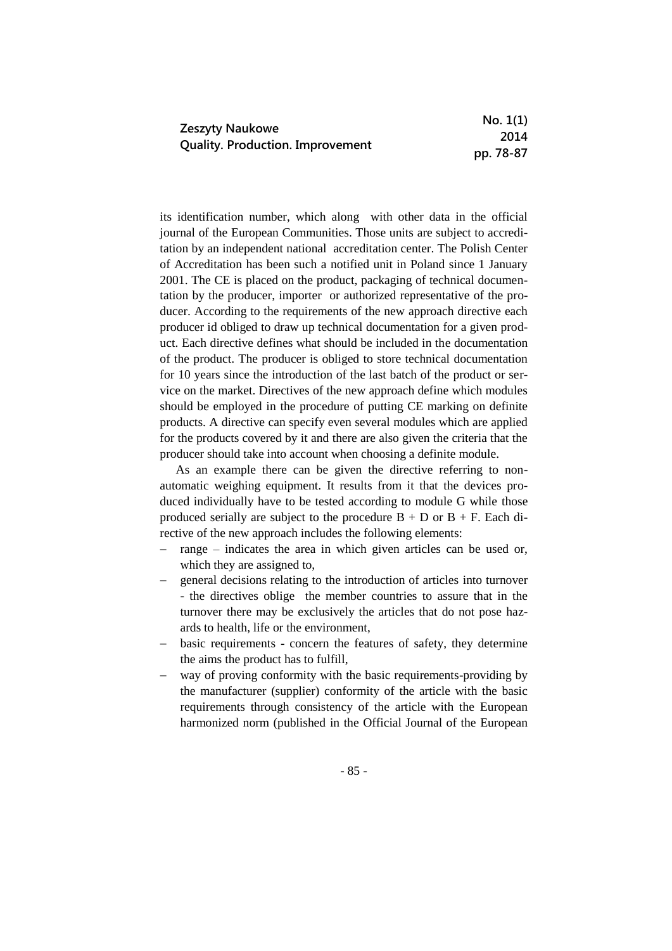|                                         | No. 1(1)  |
|-----------------------------------------|-----------|
| Zeszyty Naukowe                         | 2014      |
| <b>Quality. Production. Improvement</b> | pp. 78-87 |

its identification number, which along with other data in the official journal of the European Communities. Those units are subject to accreditation by an independent national accreditation center. The Polish Center of Accreditation has been such a notified unit in Poland since 1 January 2001. The CE is placed on the product, packaging of technical documentation by the producer, importer or authorized representative of the producer. According to the requirements of the new approach directive each producer id obliged to draw up technical documentation for a given product. Each directive defines what should be included in the documentation of the product. The producer is obliged to store technical documentation for 10 years since the introduction of the last batch of the product or service on the market. Directives of the new approach define which modules should be employed in the procedure of putting CE marking on definite products. A directive can specify even several modules which are applied for the products covered by it and there are also given the criteria that the producer should take into account when choosing a definite module.

As an example there can be given the directive referring to nonautomatic weighing equipment. It results from it that the devices produced individually have to be tested according to module G while those produced serially are subject to the procedure  $B + D$  or  $B + F$ . Each directive of the new approach includes the following elements:

- range indicates the area in which given articles can be used or, which they are assigned to,
- general decisions relating to the introduction of articles into turnover - the directives oblige the member countries to assure that in the turnover there may be exclusively the articles that do not pose hazards to health, life or the environment,
- basic requirements concern the features of safety, they determine the aims the product has to fulfill,
- way of proving conformity with the basic requirements-providing by the manufacturer (supplier) conformity of the article with the basic requirements through consistency of the article with the European harmonized norm (published in the Official Journal of the European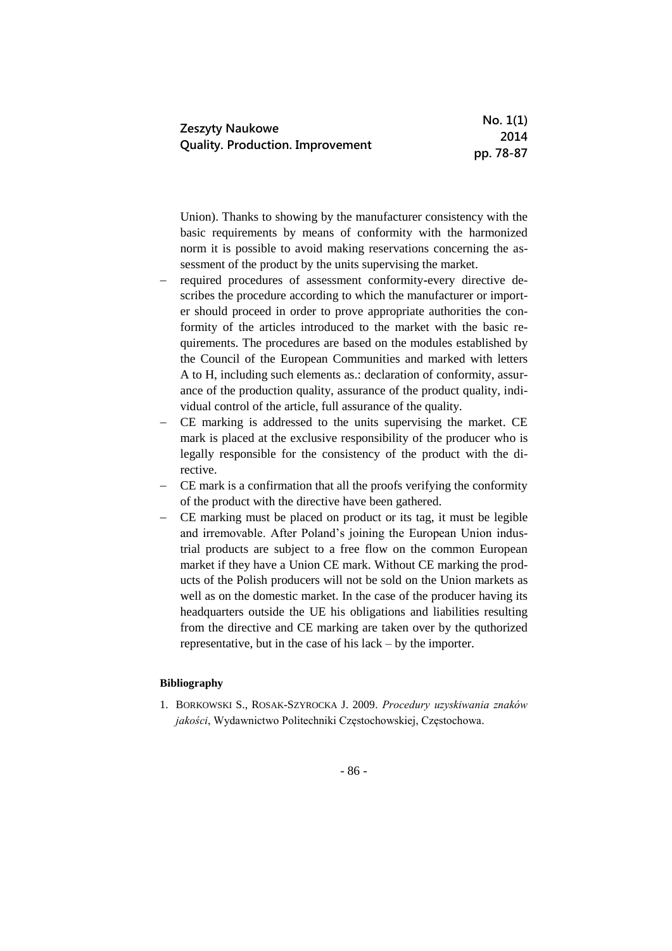|                                         | No. 1(1)  |
|-----------------------------------------|-----------|
| <b>Zeszyty Naukowe</b>                  | 2014      |
| <b>Quality. Production. Improvement</b> | pp. 78-87 |

Union). Thanks to showing by the manufacturer consistency with the basic requirements by means of conformity with the harmonized norm it is possible to avoid making reservations concerning the assessment of the product by the units supervising the market.

- required procedures of assessment conformity**-**every directive describes the procedure according to which the manufacturer or importer should proceed in order to prove appropriate authorities the conformity of the articles introduced to the market with the basic requirements. The procedures are based on the modules established by the Council of the European Communities and marked with letters A to H, including such elements as.: declaration of conformity, assurance of the production quality, assurance of the product quality, individual control of the article, full assurance of the quality.
- CE marking is addressed to the units supervising the market. CE mark is placed at the exclusive responsibility of the producer who is legally responsible for the consistency of the product with the directive.
- CE mark is a confirmation that all the proofs verifying the conformity of the product with the directive have been gathered.
- CE marking must be placed on product or its tag, it must be legible and irremovable. After Poland's joining the European Union industrial products are subject to a free flow on the common European market if they have a Union CE mark. Without CE marking the products of the Polish producers will not be sold on the Union markets as well as on the domestic market. In the case of the producer having its headquarters outside the UE his obligations and liabilities resulting from the directive and CE marking are taken over by the quthorized representative, but in the case of his lack – by the importer.

#### **Bibliography**

1. BORKOWSKI S., ROSAK-SZYROCKA J. 2009. *Procedury uzyskiwania znaków jakości*, Wydawnictwo Politechniki Częstochowskiej, Częstochowa.